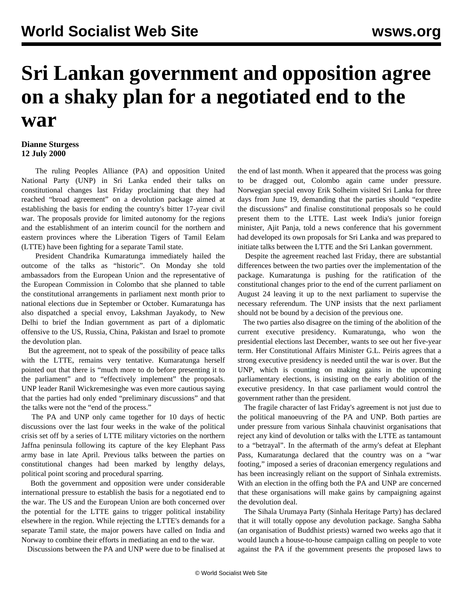## **Sri Lankan government and opposition agree on a shaky plan for a negotiated end to the war**

## **Dianne Sturgess 12 July 2000**

 The ruling Peoples Alliance (PA) and opposition United National Party (UNP) in Sri Lanka ended their talks on constitutional changes last Friday proclaiming that they had reached "broad agreement" on a devolution package aimed at establishing the basis for ending the country's bitter 17-year civil war. The proposals provide for limited autonomy for the regions and the establishment of an interim council for the northern and eastern provinces where the Liberation Tigers of Tamil Eelam (LTTE) have been fighting for a separate Tamil state.

 President Chandrika Kumaratunga immediately hailed the outcome of the talks as "historic". On Monday she told ambassadors from the European Union and the representative of the European Commission in Colombo that she planned to table the constitutional arrangements in parliament next month prior to national elections due in September or October. Kumaratunga has also dispatched a special envoy, Lakshman Jayakody, to New Delhi to brief the Indian government as part of a diplomatic offensive to the US, Russia, China, Pakistan and Israel to promote the devolution plan.

 But the agreement, not to speak of the possibility of peace talks with the LTTE, remains very tentative. Kumaratunga herself pointed out that there is "much more to do before presenting it to the parliament" and to "effectively implement" the proposals. UNP leader Ranil Wickremesinghe was even more cautious saying that the parties had only ended "preliminary discussions" and that the talks were not the "end of the process."

 The PA and UNP only came together for 10 days of hectic discussions over the last four weeks in the wake of the political crisis set off by a series of LTTE military victories on the northern Jaffna peninsula following its capture of the key Elephant Pass army base in late April. Previous talks between the parties on constitutional changes had been marked by lengthy delays, political point scoring and procedural sparring.

 Both the government and opposition were under considerable international pressure to establish the basis for a negotiated end to the war. The US and the European Union are both concerned over the potential for the LTTE gains to trigger political instability elsewhere in the region. While rejecting the LTTE's demands for a separate Tamil state, the major powers have called on India and Norway to combine their efforts in mediating an end to the war.

Discussions between the PA and UNP were due to be finalised at

the end of last month. When it appeared that the process was going to be dragged out, Colombo again came under pressure. Norwegian special envoy Erik Solheim visited Sri Lanka for three days from June 19, demanding that the parties should "expedite the discussions" and finalise constitutional proposals so he could present them to the LTTE. Last week India's junior foreign minister, Ajit Panja, told a news conference that his government had developed its own proposals for Sri Lanka and was prepared to initiate talks between the LTTE and the Sri Lankan government.

 Despite the agreement reached last Friday, there are substantial differences between the two parties over the implementation of the package. Kumaratunga is pushing for the ratification of the constitutional changes prior to the end of the current parliament on August 24 leaving it up to the next parliament to supervise the necessary referendum. The UNP insists that the next parliament should not be bound by a decision of the previous one.

 The two parties also disagree on the timing of the abolition of the current executive presidency. Kumaratunga, who won the presidential elections last December, wants to see out her five-year term. Her Constitutional Affairs Minister G.L. Peiris agrees that a strong executive presidency is needed until the war is over. But the UNP, which is counting on making gains in the upcoming parliamentary elections, is insisting on the early abolition of the executive presidency. In that case parliament would control the government rather than the president.

 The fragile character of last Friday's agreement is not just due to the political manoeuvring of the PA and UNP. Both parties are under pressure from various Sinhala chauvinist organisations that reject any kind of devolution or talks with the LTTE as tantamount to a "betrayal". In the aftermath of the army's defeat at Elephant Pass, Kumaratunga declared that the country was on a "war footing," imposed a series of draconian emergency regulations and has been increasingly reliant on the support of Sinhala extremists. With an election in the offing both the PA and UNP are concerned that these organisations will make gains by campaigning against the devolution deal.

 The Sihala Urumaya Party (Sinhala Heritage Party) has declared that it will totally oppose any devolution package. Sangha Sabha (an organisation of Buddhist priests) warned two weeks ago that it would launch a house-to-house campaign calling on people to vote against the PA if the government presents the proposed laws to